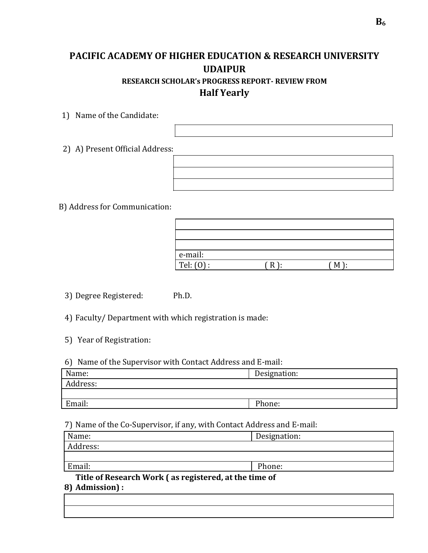## **PACIFIC ACADEMY OF HIGHER EDUCATION & RESEARCH UNIVERSITY UDAIPUR RESEARCH SCHOLAR's PROGRESS REPORT- REVIEW FROM Half Yearly**

1) Name of the Candidate:

2) A) Present Official Address:

B) Address for Communication:

| e-mail:   |   |  |
|-----------|---|--|
| Tel: (0): | к |  |

- 3) Degree Registered: Ph.D.
- 4) Faculty/ Department with which registration is made:
- 5) Year of Registration:
- 6) Name of the Supervisor with Contact Address and E-mail:

| Name:    | Designation: |  |  |
|----------|--------------|--|--|
|          |              |  |  |
| Address: |              |  |  |
|          |              |  |  |
|          |              |  |  |
| Email:   | Phone:       |  |  |
|          |              |  |  |
|          |              |  |  |

7) Name of the Co-Supervisor, if any, with Contact Address and E-mail:

| Name:    | Designation: |  |  |
|----------|--------------|--|--|
| Address: |              |  |  |
|          |              |  |  |
| Email:   | Phone:       |  |  |

**8) Admission) : Title of Research Work ( as registered, at the time of**